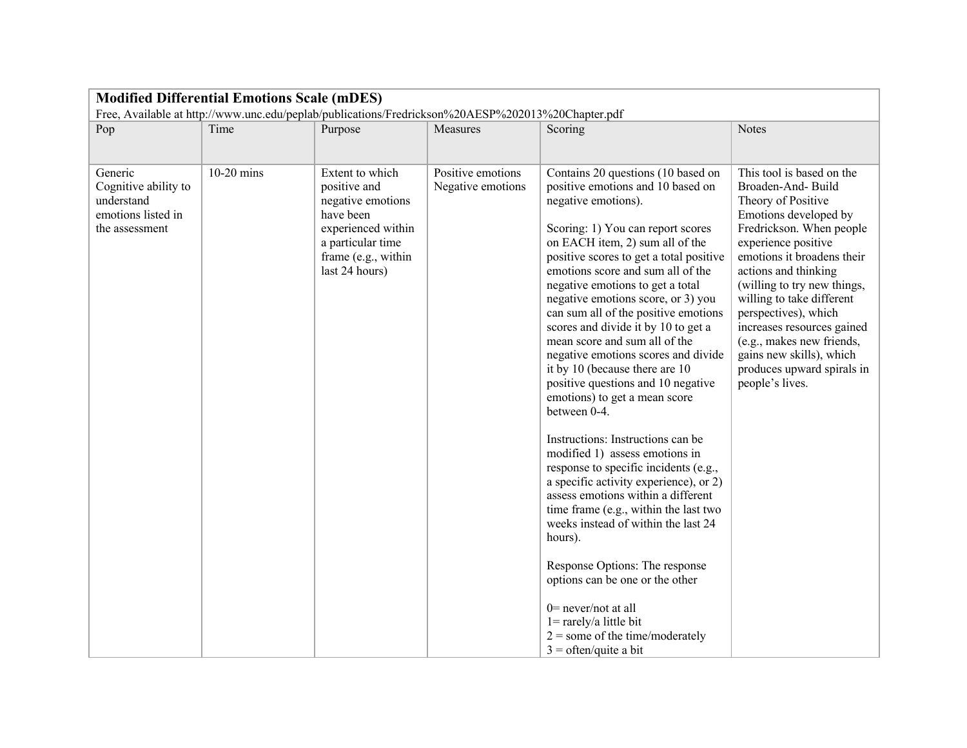| <b>Modified Differential Emotions Scale (mDES)</b><br>Free, Available at http://www.unc.edu/peplab/publications/Fredrickson%20AESP%202013%20Chapter.pdf |                      |                                                                                                                                                                  |                                                    |                                                                                                                                                                                                                                                                                                                                                                                                                                                                                                                                                                            |                                                                                                                                                                                                                                                                                                                                                                                                                                                    |  |  |  |
|---------------------------------------------------------------------------------------------------------------------------------------------------------|----------------------|------------------------------------------------------------------------------------------------------------------------------------------------------------------|----------------------------------------------------|----------------------------------------------------------------------------------------------------------------------------------------------------------------------------------------------------------------------------------------------------------------------------------------------------------------------------------------------------------------------------------------------------------------------------------------------------------------------------------------------------------------------------------------------------------------------------|----------------------------------------------------------------------------------------------------------------------------------------------------------------------------------------------------------------------------------------------------------------------------------------------------------------------------------------------------------------------------------------------------------------------------------------------------|--|--|--|
|                                                                                                                                                         |                      |                                                                                                                                                                  |                                                    |                                                                                                                                                                                                                                                                                                                                                                                                                                                                                                                                                                            |                                                                                                                                                                                                                                                                                                                                                                                                                                                    |  |  |  |
|                                                                                                                                                         |                      |                                                                                                                                                                  |                                                    |                                                                                                                                                                                                                                                                                                                                                                                                                                                                                                                                                                            |                                                                                                                                                                                                                                                                                                                                                                                                                                                    |  |  |  |
| Pop<br>Generic<br>Cognitive ability to<br>understand<br>emotions listed in<br>the assessment                                                            | Time<br>$10-20$ mins | Purpose<br>Extent to which<br>positive and<br>negative emotions<br>have been<br>experienced within<br>a particular time<br>frame (e.g., within<br>last 24 hours) | Measures<br>Positive emotions<br>Negative emotions | Scoring<br>Contains 20 questions (10 based on<br>positive emotions and 10 based on<br>negative emotions).<br>Scoring: 1) You can report scores<br>on EACH item, 2) sum all of the<br>positive scores to get a total positive<br>emotions score and sum all of the<br>negative emotions to get a total<br>negative emotions score, or 3) you<br>can sum all of the positive emotions<br>scores and divide it by 10 to get a<br>mean score and sum all of the<br>negative emotions scores and divide<br>it by 10 (because there are 10<br>positive questions and 10 negative | <b>Notes</b><br>This tool is based on the<br>Broaden-And-Build<br>Theory of Positive<br>Emotions developed by<br>Fredrickson. When people<br>experience positive<br>emotions it broadens their<br>actions and thinking<br>(willing to try new things,<br>willing to take different<br>perspectives), which<br>increases resources gained<br>(e.g., makes new friends,<br>gains new skills), which<br>produces upward spirals in<br>people's lives. |  |  |  |
|                                                                                                                                                         |                      |                                                                                                                                                                  |                                                    | emotions) to get a mean score<br>between 0-4.<br>Instructions: Instructions can be<br>modified 1) assess emotions in<br>response to specific incidents (e.g.,<br>a specific activity experience), or 2)<br>assess emotions within a different<br>time frame (e.g., within the last two<br>weeks instead of within the last 24<br>hours).<br>Response Options: The response<br>options can be one or the other<br>$0$ = never/not at all<br>$1 = \text{rarely/a}$ little bit<br>$2 =$ some of the time/moderately<br>$3 =$ often/quite a bit                                |                                                                                                                                                                                                                                                                                                                                                                                                                                                    |  |  |  |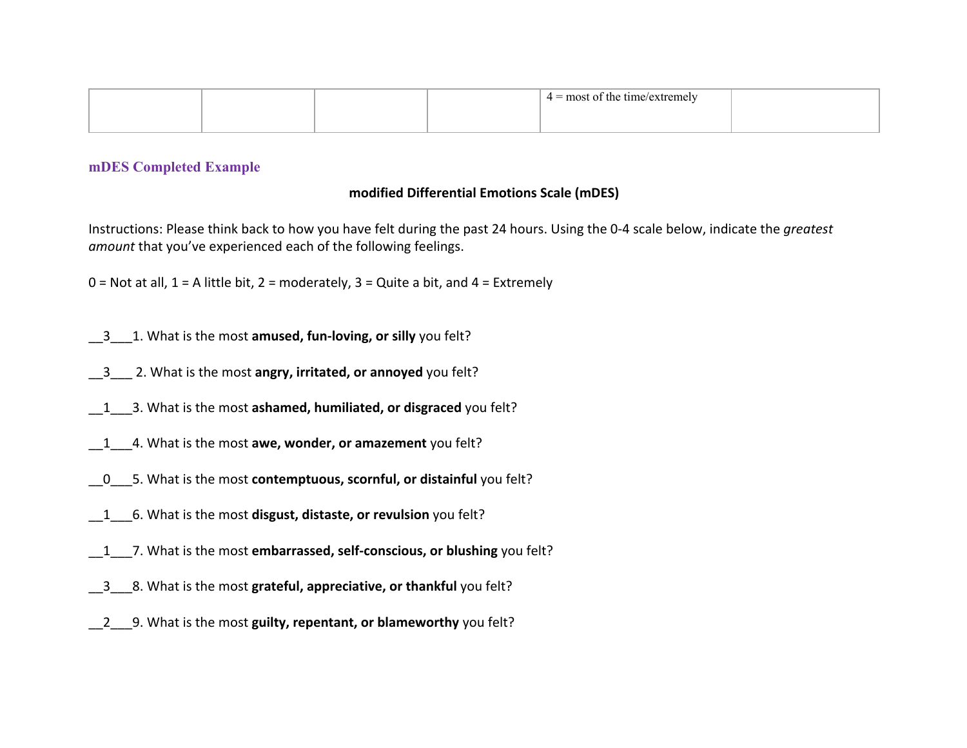|  | $4 =$ most of the time/extremely |  |
|--|----------------------------------|--|
|  |                                  |  |

## **mDES Completed Example**

## **modified Differential Emotions Scale (mDES)**

Instructions: Please think back to how you have felt during the past 24 hours. Using the 0-4 scale below, indicate the *greatest amount* that you've experienced each of the following feelings.

 $0 =$  Not at all,  $1 =$  A little bit,  $2 =$  moderately,  $3 =$  Quite a bit, and  $4 =$  Extremely

- \_\_3\_\_\_1. What is the most **amused, fun-loving, or silly** you felt?
- \_\_3\_\_\_ 2. What is the most **angry, irritated, or annoyed** you felt?
- \_\_1\_\_\_3. What is the most **ashamed, humiliated, or disgraced** you felt?
- \_\_1\_\_\_4. What is the most **awe, wonder, or amazement** you felt?
- \_\_0\_\_\_5. What is the most **contemptuous, scornful, or distainful** you felt?
- \_\_1\_\_\_6. What is the most **disgust, distaste, or revulsion** you felt?
- \_\_1\_\_\_7. What is the most **embarrassed, self-conscious, or blushing** you felt?
- \_\_3\_\_\_8. What is the most **grateful, appreciative, or thankful** you felt?
- \_\_2\_\_\_9. What is the most **guilty, repentant, or blameworthy** you felt?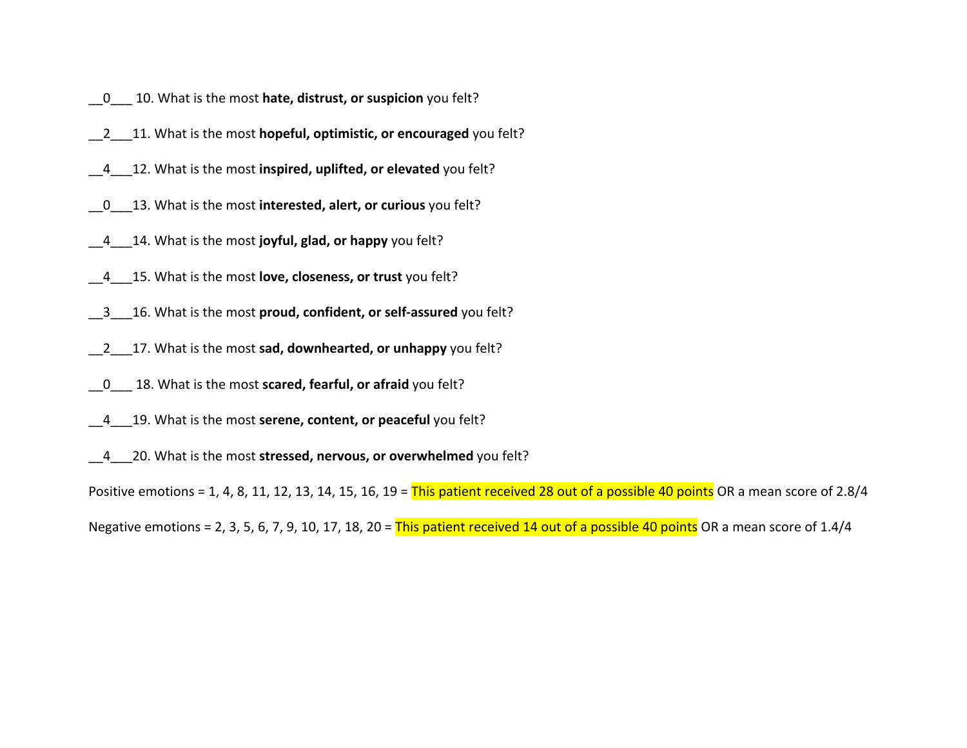- \_\_0\_\_\_ 10. What is the most **hate, distrust, or suspicion** you felt?
- \_\_2\_\_\_11. What is the most **hopeful, optimistic, or encouraged** you felt?
- \_\_4\_\_\_12. What is the most **inspired, uplifted, or elevated** you felt?
- \_\_0\_\_\_13. What is the most **interested, alert, or curious** you felt?
- \_\_4\_\_\_14. What is the most **joyful, glad, or happy** you felt?
- \_\_4\_\_\_15. What is the most **love, closeness, or trust** you felt?
- \_\_3\_\_\_16. What is the most **proud, confident, or self-assured** you felt?
- \_\_2\_\_\_17. What is the most **sad, downhearted, or unhappy** you felt?
- \_\_0\_\_\_ 18. What is the most **scared, fearful, or afraid** you felt?
- \_\_4\_\_\_19. What is the most **serene, content, or peaceful** you felt?
- \_\_4\_\_\_20. What is the most **stressed, nervous, or overwhelmed** you felt?

Positive emotions = 1, 4, 8, 11, 12, 13, 14, 15, 16, 19 = This patient received 28 out of a possible 40 points OR a mean score of 2.8/4 Negative emotions = 2, 3, 5, 6, 7, 9, 10, 17, 18, 20 = This patient received 14 out of a possible 40 points OR a mean score of 1.4/4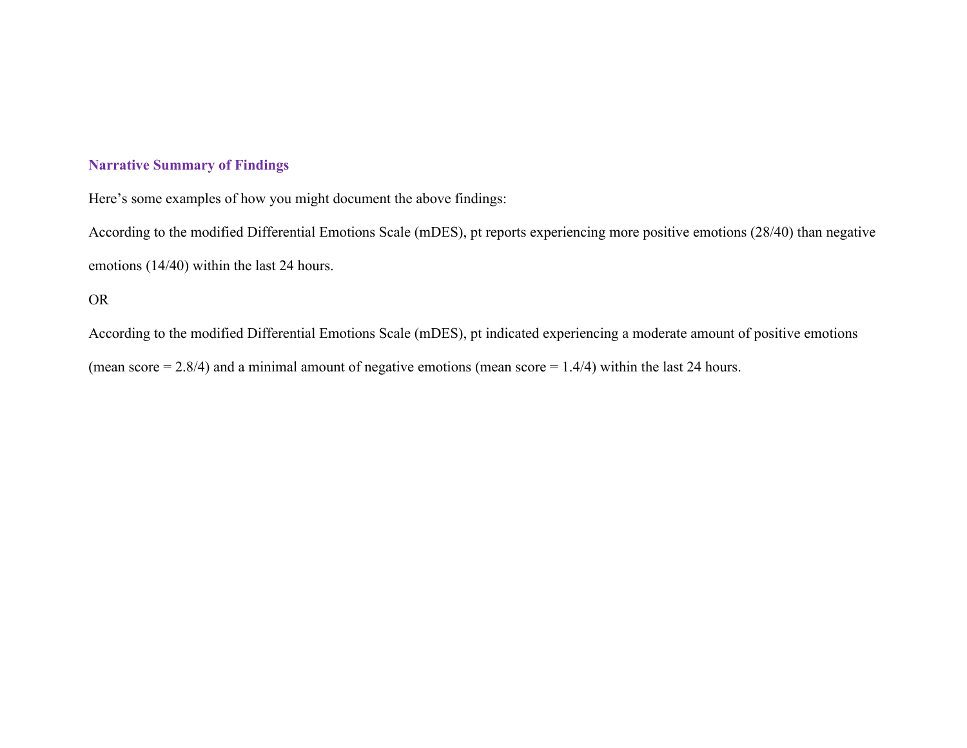## **Narrative Summary of Findings**

Here's some examples of how you might document the above findings:

According to the modified Differential Emotions Scale (mDES), pt reports experiencing more positive emotions (28/40) than negative emotions (14/40) within the last 24 hours.

## OR

According to the modified Differential Emotions Scale (mDES), pt indicated experiencing a moderate amount of positive emotions (mean score  $= 2.8/4$ ) and a minimal amount of negative emotions (mean score  $= 1.4/4$ ) within the last 24 hours.